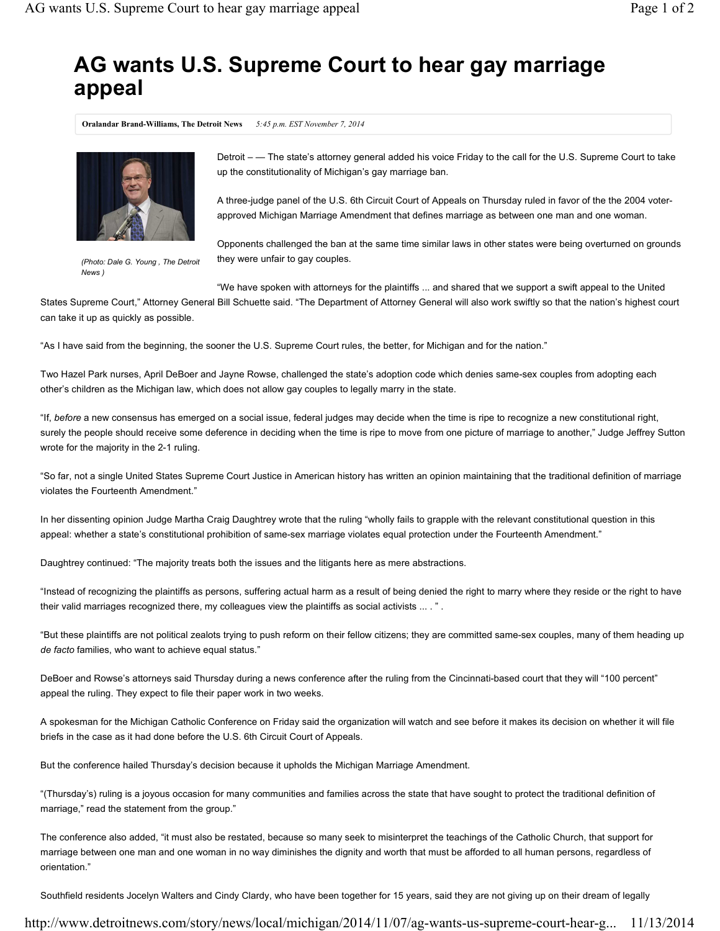## **AG wants U.S. Supreme Court to hear gay marriage appeal**

**Oralandar Brand-Williams, The Detroit News** *5:45 p.m. EST November 7, 2014*



*(Photo: Dale G. Young , The Detroit News )*

Detroit – — The state's attorney general added his voice Friday to the call for the U.S. Supreme Court to take up the constitutionality of Michigan's gay marriage ban.

A three-judge panel of the U.S. 6th Circuit Court of Appeals on Thursday ruled in favor of the the 2004 voterapproved Michigan Marriage Amendment that defines marriage as between one man and one woman.

Opponents challenged the ban at the same time similar laws in other states were being overturned on grounds they were unfair to gay couples.

"We have spoken with attorneys for the plaintiffs ... and shared that we support a swift appeal to the United

States Supreme Court," Attorney General Bill Schuette said. "The Department of Attorney General will also work swiftly so that the nation's highest court can take it up as quickly as possible.

"As I have said from the beginning, the sooner the U.S. Supreme Court rules, the better, for Michigan and for the nation."

Two Hazel Park nurses, April DeBoer and Jayne Rowse, challenged the state's adoption code which denies same-sex couples from adopting each other's children as the Michigan law, which does not allow gay couples to legally marry in the state.

"If, *before* a new consensus has emerged on a social issue, federal judges may decide when the time is ripe to recognize a new constitutional right, surely the people should receive some deference in deciding when the time is ripe to move from one picture of marriage to another," Judge Jeffrey Sutton wrote for the majority in the 2-1 ruling.

"So far, not a single United States Supreme Court Justice in American history has written an opinion maintaining that the traditional definition of marriage violates the Fourteenth Amendment."

In her dissenting opinion Judge Martha Craig Daughtrey wrote that the ruling "wholly fails to grapple with the relevant constitutional question in this appeal: whether a state's constitutional prohibition of same-sex marriage violates equal protection under the Fourteenth Amendment."

Daughtrey continued: "The majority treats both the issues and the litigants here as mere abstractions.

"Instead of recognizing the plaintiffs as persons, suffering actual harm as a result of being denied the right to marry where they reside or the right to have their valid marriages recognized there, my colleagues view the plaintiffs as social activists ... . ".

"But these plaintiffs are not political zealots trying to push reform on their fellow citizens; they are committed same-sex couples, many of them heading up *de facto* families, who want to achieve equal status."

DeBoer and Rowse's attorneys said Thursday during a news conference after the ruling from the Cincinnati-based court that they will "100 percent" appeal the ruling. They expect to file their paper work in two weeks.

A spokesman for the Michigan Catholic Conference on Friday said the organization will watch and see before it makes its decision on whether it will file briefs in the case as it had done before the U.S. 6th Circuit Court of Appeals.

But the conference hailed Thursday's decision because it upholds the Michigan Marriage Amendment.

"(Thursday's) ruling is a joyous occasion for many communities and families across the state that have sought to protect the traditional definition of marriage," read the statement from the group."

The conference also added, "it must also be restated, because so many seek to misinterpret the teachings of the Catholic Church, that support for marriage between one man and one woman in no way diminishes the dignity and worth that must be afforded to all human persons, regardless of orientation."

Southfield residents Jocelyn Walters and Cindy Clardy, who have been together for 15 years, said they are not giving up on their dream of legally